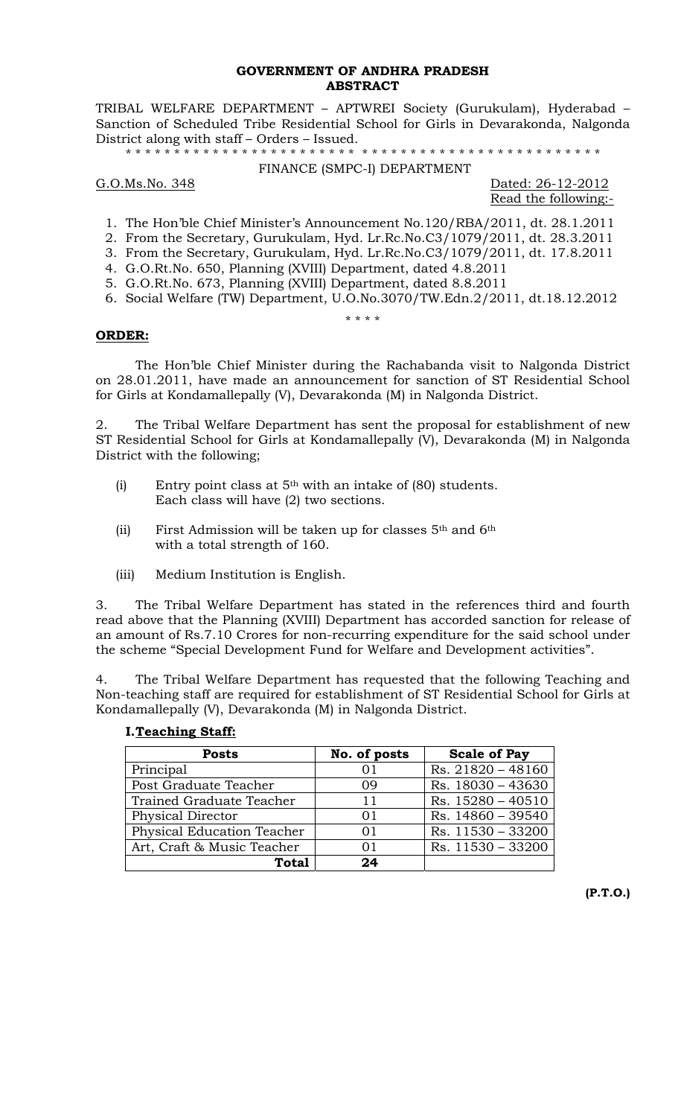### **GOVERNMENT OF ANDHRA PRADESH ABSTRACT**

TRIBAL WELFARE DEPARTMENT – APTWREI Society (Gurukulam), Hyderabad – Sanction of Scheduled Tribe Residential School for Girls in Devarakonda, Nalgonda District along with staff – Orders – Issued.

\* \* \* \* \* \* \* \* \* \* \* \* \* \* \* \* \* \* \* \* \* \* \* \* \* \* \* \* \* \* \* \* \* \* \* \* \* \* \* \* \* \* \* \* \* \* \* \* \*

#### FINANCE (SMPC-I) DEPARTMENT

### G.O.Ms.No. 348 Dated: 26-12-2012

Read the following:-

- 1. The Hon'ble Chief Minister's Announcement No.120/RBA/2011, dt. 28.1.2011
- 2. From the Secretary, Gurukulam, Hyd. Lr.Rc.No.C3/1079/2011, dt. 28.3.2011
- 3. From the Secretary, Gurukulam, Hyd. Lr.Rc.No.C3/1079/2011, dt. 17.8.2011
- 4. G.O.Rt.No. 650, Planning (XVIII) Department, dated 4.8.2011
- 5. G.O.Rt.No. 673, Planning (XVIII) Department, dated 8.8.2011
- 6. Social Welfare (TW) Department, U.O.No.3070/TW.Edn.2/2011, dt.18.12.2012 \* \* \* \*

# **ORDER:**

 The Hon'ble Chief Minister during the Rachabanda visit to Nalgonda District on 28.01.2011, have made an announcement for sanction of ST Residential School for Girls at Kondamallepally (V), Devarakonda (M) in Nalgonda District.

2. The Tribal Welfare Department has sent the proposal for establishment of new ST Residential School for Girls at Kondamallepally (V), Devarakonda (M) in Nalgonda District with the following;

- (i) Entry point class at  $5<sup>th</sup>$  with an intake of (80) students. Each class will have (2) two sections.
- (ii) First Admission will be taken up for classes 5<sup>th</sup> and 6<sup>th</sup> with a total strength of 160.
- (iii) Medium Institution is English.

3. The Tribal Welfare Department has stated in the references third and fourth read above that the Planning (XVIII) Department has accorded sanction for release of an amount of Rs.7.10 Crores for non-recurring expenditure for the said school under the scheme "Special Development Fund for Welfare and Development activities".

4. The Tribal Welfare Department has requested that the following Teaching and Non-teaching staff are required for establishment of ST Residential School for Girls at Kondamallepally (V), Devarakonda (M) in Nalgonda District.

## **I.Teaching Staff:**

| <b>Posts</b>               | No. of posts | <b>Scale of Pay</b> |
|----------------------------|--------------|---------------------|
| Principal                  | $()$ ]       | Rs. 21820 - 48160   |
| Post Graduate Teacher      | 09           | Rs. 18030 - 43630   |
| Trained Graduate Teacher   | 11           | Rs. $15280 - 40510$ |
| Physical Director          | 01           | Rs. 14860 - 39540   |
| Physical Education Teacher | 01           | Rs. 11530 - 33200   |
| Art, Craft & Music Teacher | 01           | Rs. 11530 - 33200   |
| Total                      | 24           |                     |

**(P.T.O.)**